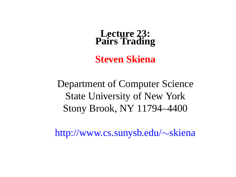#### **Lecture 23: Pairs Trading**

**Steven Skiena**

Department of Computer Science State University of New York Stony Brook, NY 11794–4400

http://www.cs.sunysb.edu/∼skiena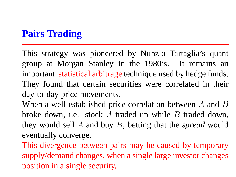### **Pairs Trading**

This strategy was pioneered by Nunzio Tartaglia's quant group at Morgan Stanley in the 1980's. It remains an important statistical arbitrage technique used by hedge funds. They found that certain securities were correlated in their day-to-day price movements.

When a well established price correlation between A and B broke down, i.e. stock  $A$  traded up while  $B$  traded down, they would sell A and buy B, betting that the *spread* would eventually converge.

This divergence between pairs may be caused by temporary supply/demand changes, when a single large investor changes position in a single security.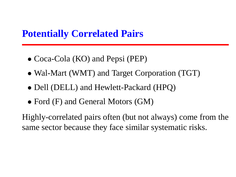#### **Potentially Correlated Pairs**

- Coca-Cola (KO) and Pepsi (PEP)
- Wal-Mart (WMT) and Target Corporation (TGT)
- Dell (DELL) and Hewlett-Packard (HPO)
- Ford (F) and General Motors (GM)

Highly-correlated pairs often (but not always) come from the same sector because they face similar systematic risks.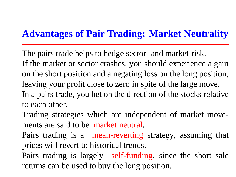### **Advantages of Pair Trading: Market Neutrality**

The pairs trade helps to hedge sector- and market-risk. If the market or sector crashes, you should experience a gain on the short position and a negating loss on the long position, leaving your profit close to zero in spite of the large move. In a pairs trade, you bet on the direction of the stocks relative to each other.

Trading strategies which are independent of market movements are said to be market neutral.

Pairs trading is a mean-reverting strategy, assuming that prices will revert to historical trends.

Pairs trading is largely self-funding, since the short sale returns can be used to buy the long position.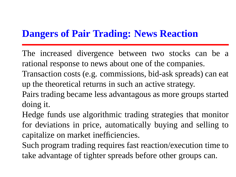# **Dangers of Pair Trading: News Reaction**

The increased divergence between two stocks can be a rational response to news about one of the companies.

Transaction costs (e.g. commissions, bid-ask spreads) can eat up the theoretical returns in such an active strategy.

Pairs trading became less advantagous as more groups started doing it.

Hedge funds use algorithmic trading strategies that monitor for deviations in price, automatically buying and selling to capitalize on market inefficiencies.

Such program trading requires fast reaction/execution time to take advantage of tighter spreads before other groups can.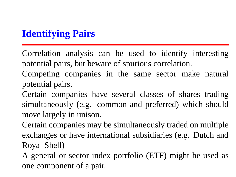# **Identifying Pairs**

Correlation analysis can be used to identify interesting potential pairs, but beware of spurious correlation.

Competing companies in the same sector make natural potential pairs.

Certain companies have several classes of shares trading simultaneously (e.g. common and preferred) which should move largely in unison.

Certain companies may be simultaneously traded on multiple exchanges or have international subsidiaries (e.g. Dutch and Royal Shell)

A general or sector index portfolio (ETF) might be used as one component of a pair.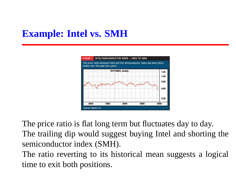# **Example: Intel vs. SMH**



The price ratio is flat long term but fluctuates day to day. The trailing dip would suggest buying Intel and shorting the semiconductor index (SMH).

The ratio reverting to its historical mean suggests a logical time to exit both positions.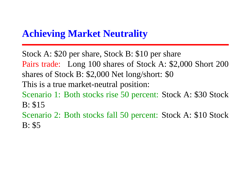#### **Achieving Market Neutrality**

Stock A: \$20 per share, Stock B: \$10 per share Pairs trade: Long 100 shares of Stock A: \$2,000 Short 200 shares of Stock B: \$2,000 Net long/short: \$0 This is a true market-neutral position: Scenario 1: Both stocks rise 50 percent: Stock A: \$30 Stock B: \$15 Scenario 2: Both stocks fall 50 percent: Stock A: \$10 Stock B: \$5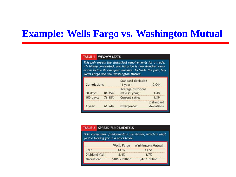#### **Example: Wells Fargo vs. Washington Mutual**

#### TABLE 1 **WFC/WM STATS**

This pair meets the statistical requirements for a trade. It's highly correlated, and its price is two standard deviations below its one-year average. To trade the pair, buy Wells Fargo and sell Washington Mutual.

| Correlations |        | Standard deviation<br>$(1$ year):     | 0.044                    |  |
|--------------|--------|---------------------------------------|--------------------------|--|
| 50 days:     | 86.45% | Average historical<br>ratio (1 year): | 1.48                     |  |
| 100 days:    | 76.18% | Current ratio:                        | 1.39                     |  |
| year:        | 66.74% | Divergence:                           | 2 standard<br>deviations |  |

#### SPREAD FUNDAMENTALS TABLE 2

Both companies' fundamentals are similar, which is what you're looking for in a pairs trade.

|               | <b>Wells Fargo</b> | <b>Washington Mutual</b> |
|---------------|--------------------|--------------------------|
| $P/E$ :       | 14.12              | 11.51                    |
| Dividend Yld: | 3.4%               | 4.7%                     |
| Market cap:   | \$106.2 billion    | \$42.1 billion           |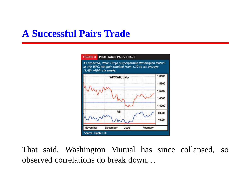### **A Successful Pairs Trade**



That said, Washington Mutual has since collapsed, so observed correlations do break down. . .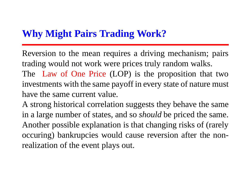### **Why Might Pairs Trading Work?**

Reversion to the mean requires a driving mechanism; pairs trading would not work were prices truly random walks.

The Law of One Price (LOP) is the proposition that two investments with the same payoff in every state of nature must have the same current value.

A strong historical correlation suggests they behave the same in a large number of states, and so *should* be priced the same. Another possible explanation is that changing risks of (rarely occuring) bankrupcies would cause reversion after the nonrealization of the event plays out.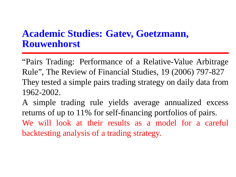#### **Academic Studies: Gatev, Goetzmann, Rouwenhorst**

"Pairs Trading: Performance of a Relative-Value Arbitrage Rule", The Review of Financial Studies, 19 (2006) 797-827 They tested a simple pairs trading strategy on daily data from 1962-2002.

A simple trading rule yields average annualized excess returns of up to 11% for self-financing portfolios of pairs. We will look at their results as a model for a careful backtesting analysis of a trading strategy.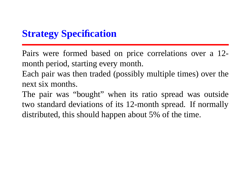### **Strategy Specification**

Pairs were formed based on price correlations over a 12 month period, starting every month.

Each pair was then traded (possibly multiple times) over the next six months.

The pair was "bought" when its ratio spread was outside two standard deviations of its 12-month spread. If normally distributed, this should happen about 5% of the time.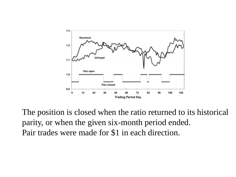

The position is closed when the ratio returned to its historical parity, or when the given six-month period ended. Pair trades were made for \$1 in each direction.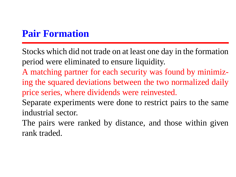# **Pair Formation**

Stocks which did not trade on at least one day in the formation period were eliminated to ensure liquidity.

A matching partner for each security was found by minimizing the squared deviations between the two normalized daily price series, where dividends were reinvested.

Separate experiments were done to restrict pairs to the same industrial sector.

The pairs were ranked by distance, and those within given rank traded.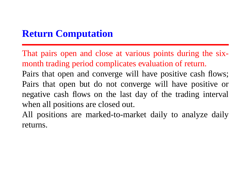# **Return Computation**

That pairs open and close at various points during the sixmonth trading period complicates evaluation of return. Pairs that open and converge will have positive cash flows; Pairs that open but do not converge will have positive or negative cash flows on the last day of the trading interval when all positions are closed out.

All positions are marked-to-market daily to analyze daily returns.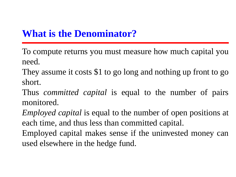# **What is the Denominator?**

To compute returns you must measure how much capital you need.

They assume it costs \$1 to go long and nothing up front to go short.

Thus *committed capital* is equal to the number of pairs monitored.

*Employed capital* is equal to the number of open positions at each time, and thus less than committed capital.

Employed capital makes sense if the uninvested money can used elsewhere in the hedge fund.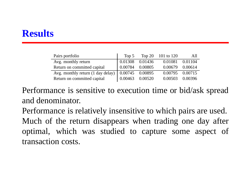#### **Results**

| Pairs portfolio                                                 |         |         | Top 5 Top 20 101 to 120 | All     |
|-----------------------------------------------------------------|---------|---------|-------------------------|---------|
| Avg. monthly return                                             | 0.01308 | 0.01436 | 0.01081                 | 0.01104 |
| Return on committed capital                                     | 0.00784 | 0.00805 | 0.00679                 | 0.00614 |
| Avg. monthly return $(1 \text{ day delay})$   $0.00745$ 0.00895 |         |         | 0.00795 0.00715         |         |
| Return on committed capital                                     | 0.00463 | 0.00520 | 0.00503                 | 0.00396 |

Performance is sensitive to execution time or bid/ask spread and denominator.

Performance is relatively insensitive to which pairs are used. Much of the return disappears when trading one day after optimal, which was studied to capture some aspect of transaction costs.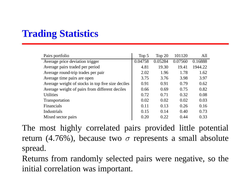### **Trading Statistics**

| Pairs portfolio                                   | Top 5   | Top $20$ | 101120  | All     |
|---------------------------------------------------|---------|----------|---------|---------|
| Average price deviation trigger                   | 0.04758 | 0.05284  | 0.07560 | 0.16888 |
| Average pairs traded per period                   | 4.81    | 19.30    | 19.41   | 1944.22 |
| Average round-trip trades per pair                | 2.02    | 1.96     | 1.78    | 1.62    |
| Average time pairs are open                       | 3.75    | 3.76     | 3.98    | 3.97    |
| Average weight of stocks in top five size deciles | 0.91    | 0.91     | 0.79    | 0.62    |
| Average weight of pairs from different deciles    | 0.66    | 0.69     | 0.75    | 0.82    |
| <b>Utilities</b>                                  | 0.72    | 0.71     | 0.32    | 0.08    |
| Transportation                                    | 0.02    | 0.02     | 0.02    | 0.03    |
| <b>Financials</b>                                 | 0.11    | 0.13     | 0.26    | 0.16    |
| Industrials                                       | 0.15    | 0.14     | 0.40    | 0.73    |
| Mixed sector pairs                                | 0.20    | 0.22     | 0.44    | 0.33    |

The most highly correlated pairs provided little potential return (4.76%), because two  $\sigma$  represents a small absolute spread.

Returns from randomly selected pairs were negative, so the initial correlation was important.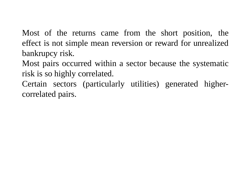Most of the returns came from the short position, the effect is not simple mean reversion or reward for unrealized bankrupcy risk.

Most pairs occurred within a sector because the systematic risk is so highly correlated.

Certain sectors (particularly utilities) generated highercorrelated pairs.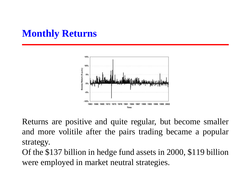#### **Monthly Returns**



Returns are positive and quite regular, but become smaller and more volitile after the pairs trading became a popular strategy.

Of the \$137 billion in hedge fund assets in 2000, \$119 billion were employed in market neutral strategies.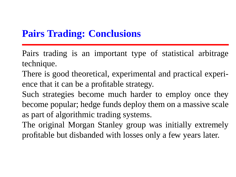#### **Pairs Trading: Conclusions**

Pairs trading is an important type of statistical arbitrage technique.

There is good theoretical, experimental and practical experience that it can be a profitable strategy.

Such strategies become much harder to employ once they become popular; hedge funds deploy them on a massive scale as part of algorithmic trading systems.

The original Morgan Stanley group was initially extremely profitable but disbanded with losses only a few years later.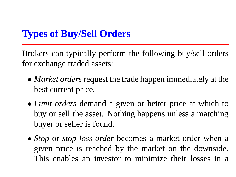# **Types of Buy/Sell Orders**

Brokers can typically perform the following buy/sell orders for exchange traded assets:

- *Market orders* request the trade happen immediately at the best current price.
- *Limit orders* demand a given or better price at which to buy or sell the asset. Nothing happens unless a matching buyer or seller is found.
- *Stop* or *stop-loss order* becomes a market order when a given price is reached by the market on the downside. This enables an investor to minimize their losses in a